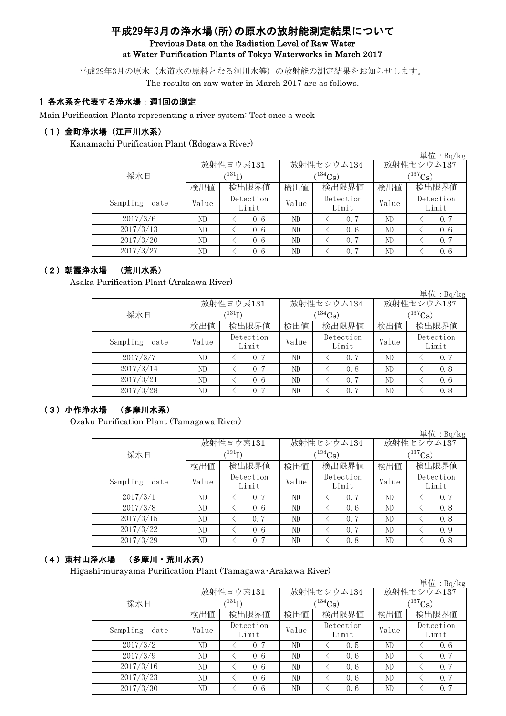# 平成29年3月の浄水場(所)の原水の放射能測定結果について Previous Data on the Radiation Level of Raw Water at Water Purification Plants of Tokyo Waterworks in March 2017

平成29年3月の原水(水道水の原料となる河川水等)の放射能の測定結果をお知らせします。

The results on raw water in March 2017 are as follows.

## 1 各水系を代表する浄水場:週1回の測定

Main Purification Plants representing a river system: Test once a week

### (1)金町浄水場(江戸川水系)

Kanamachi Purification Plant (Edogawa River)

|                  |                           |                       |       |                    |                       | 単位:Bq/kg           |  |
|------------------|---------------------------|-----------------------|-------|--------------------|-----------------------|--------------------|--|
|                  |                           | 放射性ヨウ素131             |       | 放射性セシウム134         | 放射性セシウム137            |                    |  |
| 採水日              | $^{\prime131}\mathrm{I})$ |                       |       | $(134)$ Cs         | $(^{137}\mathrm{Cs})$ |                    |  |
|                  | 検出値                       | 検出限界値<br>検出限界値<br>検出値 |       | 検出値                | 検出限界値                 |                    |  |
| Sampling<br>date | Value                     | Detection<br>Limit    | Value | Detection<br>Limit | Value                 | Detection<br>Limit |  |
| 2017/3/6         | ND                        | 0.6                   | ND    | 0.7                | ND                    | 0.7                |  |
| 2017/3/13        | ND                        | 0.6                   | ND    | 0.6                | ND                    | 0.6                |  |
| 2017/3/20        | ND                        | 0.6                   | ND    | 0.7                | ND                    | 0, 7               |  |
| 2017/3/27        | ND                        | 0.6                   | ND    | 0, 7               | ND                    | 0.6                |  |

## (2)朝霞浄水場 (荒川水系)

Asaka Purification Plant (Arakawa River)

|                  |             |                    |       |                    |                   | $H_{\perp}$ . DQ/Kg |  |
|------------------|-------------|--------------------|-------|--------------------|-------------------|---------------------|--|
|                  |             | 放射性ヨウ素131          |       | 放射性セシウム134         | 放射性セシウム137        |                     |  |
| 採水日              | $^{131}$ I) |                    |       | $(134)$ Cs)        | 137 <sub>Cs</sub> |                     |  |
|                  | 検出値         | 検出限界値              | 検出値   | 検出限界値              | 検出値               | 検出限界値               |  |
| Sampling<br>date | Value       | Detection<br>Limit | Value | Detection<br>Limit | Value             | Detection<br>Limit  |  |
| 2017/3/7         | ND          | 0.7                | ND    | 0.7                | ND                | 0.7                 |  |
| 2017/3/14        | ND          | 0.7                | ND    | 0.8                | ND                | 0.8                 |  |
| 2017/3/21        | ND          | 0.6                | ND    | 0, 7               | ND                | 0.6                 |  |
| 2017/3/28        | ND          | 0.7                | ND    | 0, 7               | ND                | 0.8                 |  |

当 $\bigoplus$ : D<sub>q</sub>/kg

## (3)小作浄水場 (多摩川水系)

Ozaku Purification Plant (Tamagawa River)

|                  |       |                        |              |                    |              | 単位: $Bq/kg$        |  |
|------------------|-------|------------------------|--------------|--------------------|--------------|--------------------|--|
|                  |       | 放射性ヨウ素131              |              | 放射性セシウム134         | 放射性セシウム137   |                    |  |
| 採水日              |       | $^{\prime 131} \Gamma$ |              | $(134)$ Cs         | $(^{137}Cs)$ |                    |  |
|                  | 検出値   | 検出限界値                  | 検出限界値<br>検出値 |                    | 検出値          | 検出限界値              |  |
| Sampling<br>date | Value | Detection<br>Limit     | Value        | Detection<br>Limit | Value        | Detection<br>Limit |  |
| 2017/3/1         | ND    | 0, 7                   | ND           | 0.7                | ND           | 0.7                |  |
| 2017/3/8         | ND    | 0.6                    | ND           | 0.6                | ND           | 0.8                |  |
| 2017/3/15        | ND    | 0.7                    | ND           | 0.7                | ND           | 0.8                |  |
| 2017/3/22        | ND    | 0.6                    | ND           | 0.7                | ND           | 0.9                |  |
| 2017/3/29        | ND    | 0.7                    | ND           | 0.8                | ND           | 0.8                |  |

# (4)東村山浄水場 (多摩川・荒川水系)

Higashi-murayama Purification Plant (Tamagawa・Arakawa River)

|                  |       |                    |              |                       |             | 単位: $Bq/kg$        |  |
|------------------|-------|--------------------|--------------|-----------------------|-------------|--------------------|--|
|                  |       | 放射性ヨウ素131          |              | 放射性セシウム134            | 放射性セシウム137  |                    |  |
| 採水日              |       | (131)              |              | $(^{134}\mathrm{Cs})$ | $(137)$ Cs) |                    |  |
|                  | 検出値   | 検出限界値              | 検出限界値<br>検出値 |                       | 検出値         | 検出限界値              |  |
| Sampling<br>date | Value | Detection<br>Limit | Value        | Detection<br>Limit    | Value       | Detection<br>Limit |  |
| 2017/3/2         | ND    | 0.7                | ND           | 0.5                   | ND          | 0, 6               |  |
| 2017/3/9         | ND    | 0.6                | ND           | 0.6                   | ND          | 0.7                |  |
| 2017/3/16        | ND    | 0.6                | ND           | 0.6                   | ND          | 0, 7               |  |
| 2017/3/23        | ND    | 0.6                | ND           | 0.6                   | ND          | 0.7                |  |
| 2017/3/30        | ND    | 0.6                | ND           | 0, 6                  | ND          | 0.7                |  |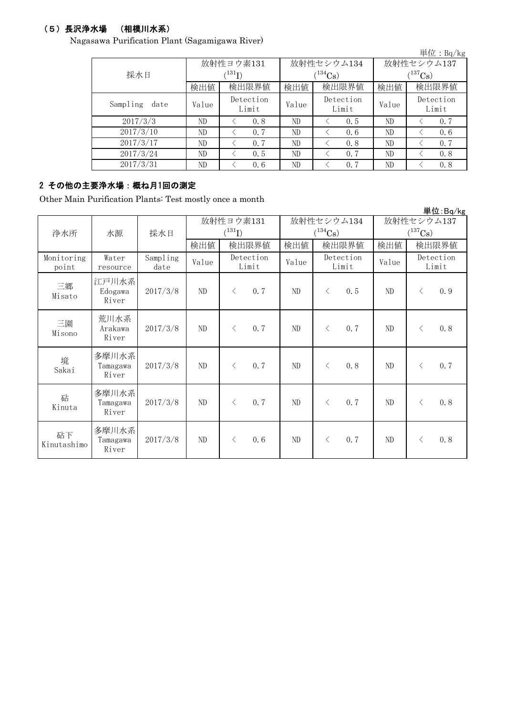# (5)長沢浄水場 (相模川水系)

Nagasawa Purification Plant (Sagamigawa River)

|                  |       |                            |       |                    |              | 単位: $Bq/kg$        |  |
|------------------|-------|----------------------------|-------|--------------------|--------------|--------------------|--|
|                  |       | 放射性ヨウ素131                  |       | 放射性セシウム134         | 放射性セシウム137   |                    |  |
| 採水日              |       | $^{\prime131} \mathrm{I})$ |       | $(^{134}Cs)$       | $(^{137}Cs)$ |                    |  |
|                  | 検出値   | 検出限界値                      | 検出値   | 検出限界値              | 検出値          | 検出限界値              |  |
| Sampling<br>date | Value | Detection<br>Limit         | Value | Detection<br>Limit | Value        | Detection<br>Limit |  |
| 2017/3/3         | ND    | 0.8                        | ND    | 0.5                | ND           | 0.7                |  |
| 2017/3/10        | ND    | 0.7                        | ND    | 0.6                | ND           | 0, 6               |  |
| 2017/3/17        | ND    | 0.7                        | ND    | 0.8                | ND           | 0.7                |  |
| 2017/3/24        | ND    | 0.5                        | ND    | 0.7                | ND           | 0.8                |  |
| 2017/3/31        | ND    | 0.6                        | ND    | 0.7                | ND           | 0.8                |  |

# 2 その他の主要浄水場:概ね月1回の測定

Other Main Purification Plants: Test mostly once a month

|                     |                            |                  |          |                          |       |                                     |                                     | 単位:Bq/kg           |
|---------------------|----------------------------|------------------|----------|--------------------------|-------|-------------------------------------|-------------------------------------|--------------------|
| 浄水所                 | 採水日<br>水源                  |                  |          | 放射性ヨウ素131<br>$(^{131}I)$ |       | 放射性セシウム134<br>$(^{134}\mathrm{Cs})$ | 放射性セシウム137<br>$(^{137}\mathrm{Cs})$ |                    |
|                     |                            |                  | 検出値      | 検出限界値                    | 検出値   | 検出限界値                               | 検出値                                 | 検出限界値              |
| Monitoring<br>point | Water<br>resource          | Sampling<br>date | Value    | Detection<br>Limit       | Value | Detection<br>Limit                  | Value                               | Detection<br>Limit |
| 三郷<br>Misato        | 江戸川水系<br>Edogawa<br>River  | 2017/3/8         | ND       | 0.7<br>$\lt$             | ND    | 0.5<br>$\lt$                        | ND                                  | 0.9<br>$\langle$   |
| 三園<br>Misono        | 荒川水系<br>Arakawa<br>River   | 2017/3/8         | $\rm ND$ | 0.7<br>$\langle$         | ND    | 0.7<br>$\langle$                    | ND                                  | 0.8<br>$\langle$   |
| 境<br>Sakai          | 多摩川水系<br>Tamagawa<br>River | 2017/3/8         | ND       | 0, 7<br>$\langle$        | ND    | 0, 8<br>$\langle$                   | ND                                  | 0.7<br>$\langle$   |
| 砧<br>Kinuta         | 多摩川水系<br>Tamagawa<br>River | 2017/3/8         | ND       | 0.7<br>$\langle$         | ND    | 0.7<br>$\langle$                    | ND                                  | 0.8<br>$\langle$   |
| 砧下<br>Kinutashimo   | 多摩川水系<br>Tamagawa<br>River | 2017/3/8         | ND       | 0.6<br>$\lt$             | ND    | 0.7<br>$\lt$                        | ND                                  | 0.8<br>$\langle$   |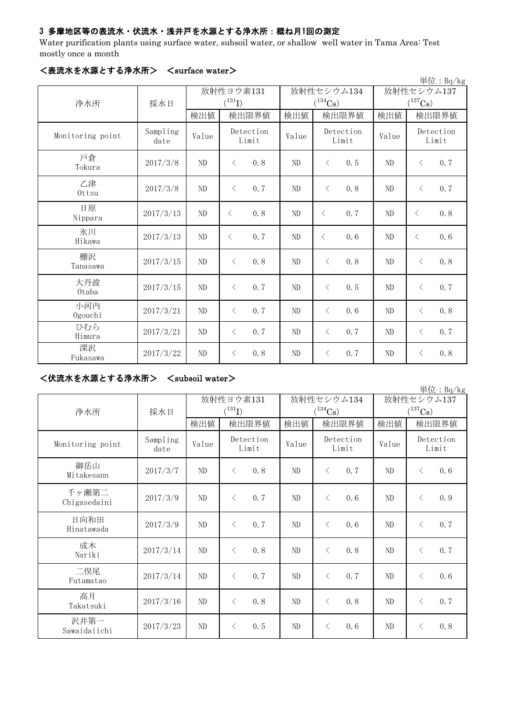# 3 多摩地区等の表流水・伏流水・浅井戸を水源とする浄水所:概ね月1回の測定

Water purification plants using surface water, subsoil water, or shallow well water in Tama Area: Test mostly once a month

|                  |                  |          |                    |       |                    |            | 単位: Bq/kg             |
|------------------|------------------|----------|--------------------|-------|--------------------|------------|-----------------------|
|                  |                  |          | 放射性ヨウ素131          |       | 放射性セシウム134         | 放射性セシウム137 |                       |
| 浄水所              | 採水日              |          | $(^{131}I)$        |       | $(^{134}Cs)$       |            | $(^{137}\mathrm{Cs})$ |
|                  |                  | 検出値      | 検出限界値              | 検出値   | 検出限界値              | 検出値        | 検出限界値                 |
| Monitoring point | Sampling<br>date | Value    | Detection<br>Limit | Value | Detection<br>Limit | Value      | Detection<br>Limit    |
| 戸倉<br>Tokura     | 2017/3/8         | ND       | 0.8<br>$\langle$   | ND    | 0.5<br>$\lt$       | ND         | 0.7<br>$\lt$          |
| 乙津<br>Ottsu      | 2017/3/8         | $\rm ND$ | 0.7<br>$\lt$       | ND    | 0.8<br>$\lt$       | ND         | 0.7<br>$\langle$      |
| 日原<br>Nippara    | 2017/3/13        | ND       | 0.8<br>$\lt$       | ND    | 0.7<br>$\langle$   | ND         | 0.8<br>$\lt$          |
| 氷川<br>Hikawa     | 2017/3/13        | ND       | 0, 7<br>$\langle$  | ND    | 0.6<br>$\langle$   | ND         | 0.6<br>$\lt$          |
| 棚沢<br>Tanasawa   | 2017/3/15        | ND       | 0.8<br>$\langle$   | ND    | 0, 8<br>$\langle$  | ND         | 0.8<br>$\langle$      |
| 大丹波<br>0taba     | 2017/3/15        | ND       | 0.7<br>$\langle$   | ND    | 0.5<br>$\langle$   | ND         | 0.7<br>$\lt$          |
| 小河内<br>Ogouchi   | 2017/3/21        | ND       | 0.7<br>$\langle$   | ND    | 0.6<br>$\langle$   | ND         | 0.8<br>$\langle$      |
| ひむら<br>Himura    | 2017/3/21        | ND       | 0.7<br>$\lt$       | ND    | 0.7<br>$\lt$       | $\rm ND$   | 0.7<br>$\lt$          |
| 深沢<br>Fukasawa   | 2017/3/22        | ND       | 0.8<br>$\lt$       | ND    | 0.7<br>$\lt$       | ND         | 0.8<br>$\lt$          |

## <表流水を水源とする浄水所> <surface water>

# <伏流水を水源とする浄水所> <subsoil water>

|                       |                  |       |                          |       |                            |                                     | 単位: Bq/kg          |
|-----------------------|------------------|-------|--------------------------|-------|----------------------------|-------------------------------------|--------------------|
| 浄水所                   | 採水日              |       | 放射性ヨウ素131<br>$(^{131}I)$ |       | 放射性セシウム134<br>$(^{134}Cs)$ | 放射性セシウム137<br>$(^{137}\mathrm{Cs})$ |                    |
|                       |                  | 検出値   | 検出限界値                    | 検出値   | 検出限界値                      | 検出値                                 | 検出限界値              |
| Monitoring point      | Sampling<br>date | Value | Detection<br>Limit       | Value | Detection<br>Limit         | Value                               | Detection<br>Limit |
| 御岳山<br>Mitakesann     | 2017/3/7         | ND    | 0.8<br>$\langle$         | ND    | 0.7<br>$\langle$           | $\rm ND$                            | 0.6<br>$\langle$   |
| 千ヶ瀬第二<br>Chigasedaini | 2017/3/9         | ND    | 0.7<br>$\langle$         | ND    | 0.6<br>$\langle$           | ND                                  | 0.9<br>$\langle$   |
| 日向和田<br>Hinatawada    | 2017/3/9         | ND    | 0.7<br>$\langle$         | ND    | 0.6<br>$\langle$           | ND                                  | 0.7<br>$\lt$       |
| 成木<br>Nariki          | 2017/3/14        | ND    | 0.8<br>$\lt$             | ND    | 0.8<br>$\langle$           | ND                                  | 0.7<br>$\langle$   |
| 二俣尾<br>Futamatao      | 2017/3/14        | ND    | 0.7<br>$\langle$         | ND    | 0.7<br>$\langle$           | ND                                  | 0.6<br>$\lt$       |
| 高月<br>Takatsuki       | 2017/3/16        | ND    | 0.8<br>$\langle$         | ND    | 0.8<br>$\langle$           | ND                                  | 0.7<br>$\langle$   |
| 沢井第一<br>Sawaidaiichi  | 2017/3/23        | ND    | 0.5<br>$\lt$             | ND    | 0.6<br>$\lt$               | ND                                  | 0.8<br>$\lt$       |